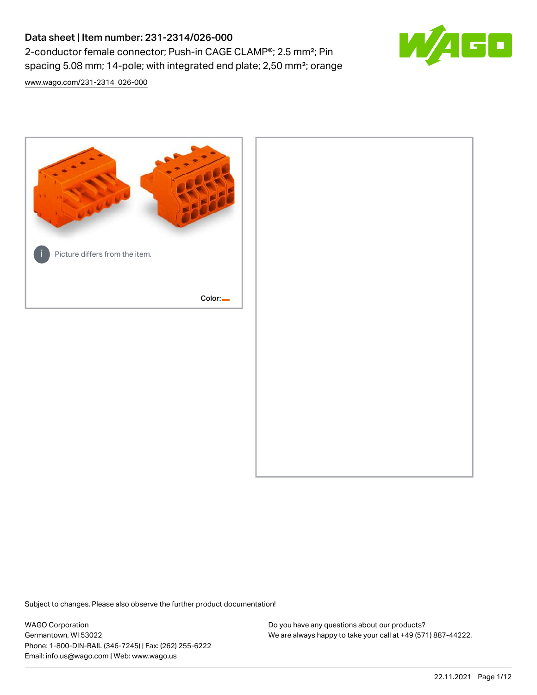# Data sheet | Item number: 231-2314/026-000 2-conductor female connector; Push-in CAGE CLAMP®; 2.5 mm²; Pin spacing 5.08 mm; 14-pole; with integrated end plate; 2,50 mm²; orange





Subject to changes. Please also observe the further product documentation!

WAGO Corporation Germantown, WI 53022 Phone: 1-800-DIN-RAIL (346-7245) | Fax: (262) 255-6222 Email: info.us@wago.com | Web: www.wago.us

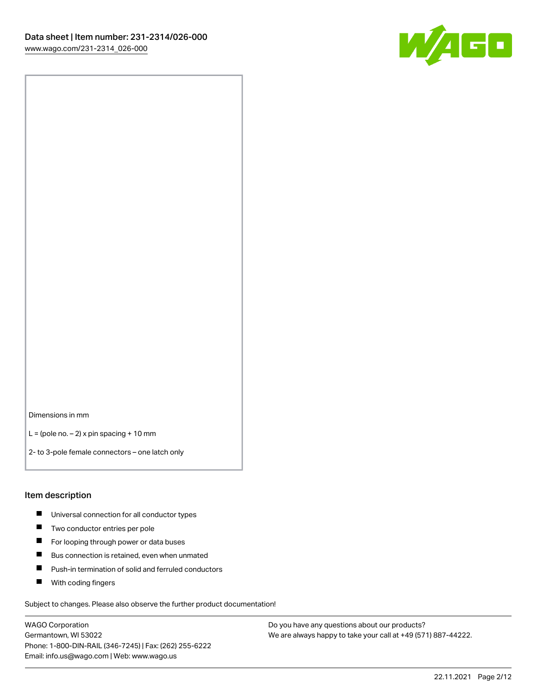

Dimensions in mm

 $L =$  (pole no.  $-2$ ) x pin spacing + 10 mm

2- to 3-pole female connectors – one latch only

#### Item description

- **Universal connection for all conductor types**
- **Two conductor entries per pole**
- $\blacksquare$ For looping through power or data buses
- $\blacksquare$ Bus connection is retained, even when unmated
- $\blacksquare$ Push-in termination of solid and ferruled conductors
- $\blacksquare$ With coding fingers

Subject to changes. Please also observe the further product documentation!

WAGO Corporation Germantown, WI 53022 Phone: 1-800-DIN-RAIL (346-7245) | Fax: (262) 255-6222 Email: info.us@wago.com | Web: www.wago.us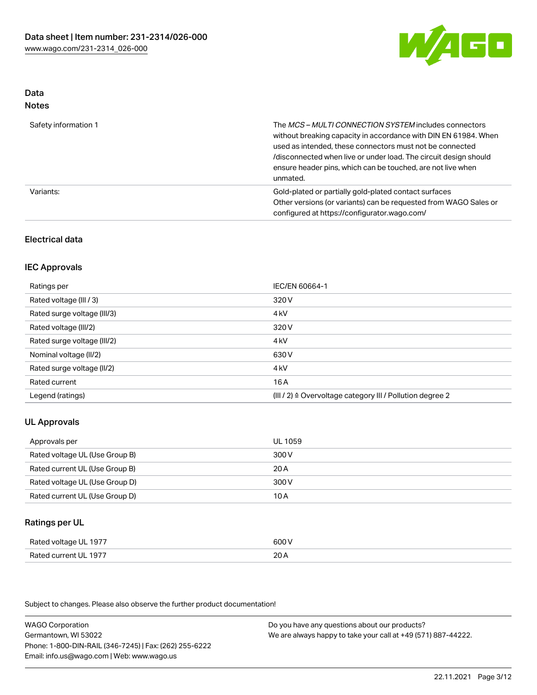

#### Data Notes

| .                    |                                                                                                                                                                                                                                                                                                                                   |
|----------------------|-----------------------------------------------------------------------------------------------------------------------------------------------------------------------------------------------------------------------------------------------------------------------------------------------------------------------------------|
| Safety information 1 | The MCS-MULTI CONNECTION SYSTEM includes connectors<br>without breaking capacity in accordance with DIN EN 61984. When<br>used as intended, these connectors must not be connected<br>/disconnected when live or under load. The circuit design should<br>ensure header pins, which can be touched, are not live when<br>unmated. |
| Variants:            | Gold-plated or partially gold-plated contact surfaces<br>Other versions (or variants) can be requested from WAGO Sales or<br>configured at https://configurator.wago.com/                                                                                                                                                         |

## Electrical data

## IEC Approvals

| Ratings per                 | IEC/EN 60664-1                                                        |
|-----------------------------|-----------------------------------------------------------------------|
| Rated voltage (III / 3)     | 320 V                                                                 |
| Rated surge voltage (III/3) | 4 <sub>k</sub> V                                                      |
| Rated voltage (III/2)       | 320 V                                                                 |
| Rated surge voltage (III/2) | 4 <sub>k</sub> V                                                      |
| Nominal voltage (II/2)      | 630 V                                                                 |
| Rated surge voltage (II/2)  | 4 <sub>k</sub> V                                                      |
| Rated current               | 16A                                                                   |
| Legend (ratings)            | $(III / 2)$ $\triangle$ Overvoltage category III / Pollution degree 2 |

## UL Approvals

| Approvals per                  | UL 1059 |
|--------------------------------|---------|
| Rated voltage UL (Use Group B) | 300 V   |
| Rated current UL (Use Group B) | 20 A    |
| Rated voltage UL (Use Group D) | 300 V   |
| Rated current UL (Use Group D) | 10 A    |

## Ratings per UL

| Rated voltage UL 1977 | 600 V |
|-----------------------|-------|
| Rated current UL 1977 | 20A   |

Subject to changes. Please also observe the further product documentation!

WAGO Corporation Germantown, WI 53022 Phone: 1-800-DIN-RAIL (346-7245) | Fax: (262) 255-6222 Email: info.us@wago.com | Web: www.wago.us Do you have any questions about our products? We are always happy to take your call at +49 (571) 887-44222.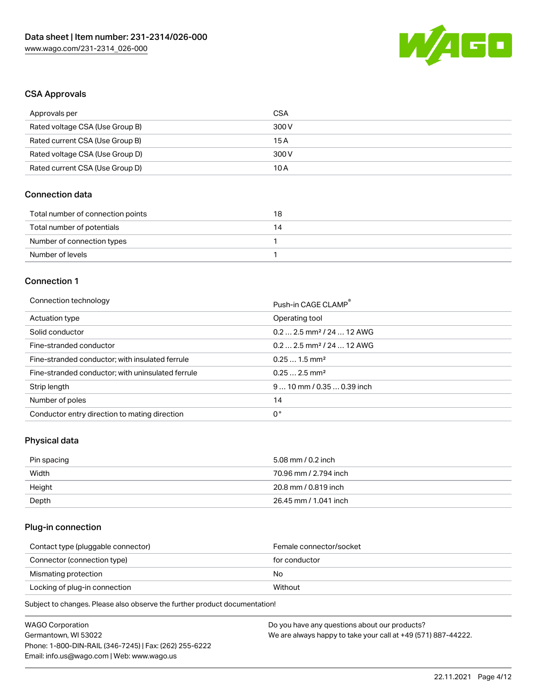

## CSA Approvals

| Approvals per                   | CSA   |
|---------------------------------|-------|
| Rated voltage CSA (Use Group B) | 300 V |
| Rated current CSA (Use Group B) | 15 A  |
| Rated voltage CSA (Use Group D) | 300 V |
| Rated current CSA (Use Group D) | 10 A  |

## Connection data

| Total number of connection points | 18 |
|-----------------------------------|----|
| Total number of potentials        | 14 |
| Number of connection types        |    |
| Number of levels                  |    |

## Connection 1

#### Connection technology **Push-in CAGE CLAMP<sup>®</sup>**

|                                                   | Push-in CAGE CLAMP                     |
|---------------------------------------------------|----------------------------------------|
| Actuation type                                    | Operating tool                         |
| Solid conductor                                   | $0.2$ 2.5 mm <sup>2</sup> / 24  12 AWG |
| Fine-stranded conductor                           | $0.2$ 2.5 mm <sup>2</sup> / 24  12 AWG |
| Fine-stranded conductor; with insulated ferrule   | $0.251.5$ mm <sup>2</sup>              |
| Fine-stranded conductor; with uninsulated ferrule | $0.252.5$ mm <sup>2</sup>              |
| Strip length                                      | $910$ mm / 0.35  0.39 inch             |
| Number of poles                                   | 14                                     |
| Conductor entry direction to mating direction     | 0°                                     |

## Physical data

| Pin spacing | 5.08 mm / 0.2 inch    |
|-------------|-----------------------|
| Width       | 70.96 mm / 2.794 inch |
| Height      | 20.8 mm / 0.819 inch  |
| Depth       | 26.45 mm / 1.041 inch |

## Plug-in connection

| Female connector/socket |
|-------------------------|
| for conductor           |
| No.                     |
| Without                 |
|                         |

Subject to changes. Please also observe the further product documentation!

| <b>WAGO Corporation</b>                                | Do you have any questions about our products?                 |
|--------------------------------------------------------|---------------------------------------------------------------|
| Germantown, WI 53022                                   | We are always happy to take your call at +49 (571) 887-44222. |
| Phone: 1-800-DIN-RAIL (346-7245)   Fax: (262) 255-6222 |                                                               |
| Email: info.us@wago.com   Web: www.wago.us             |                                                               |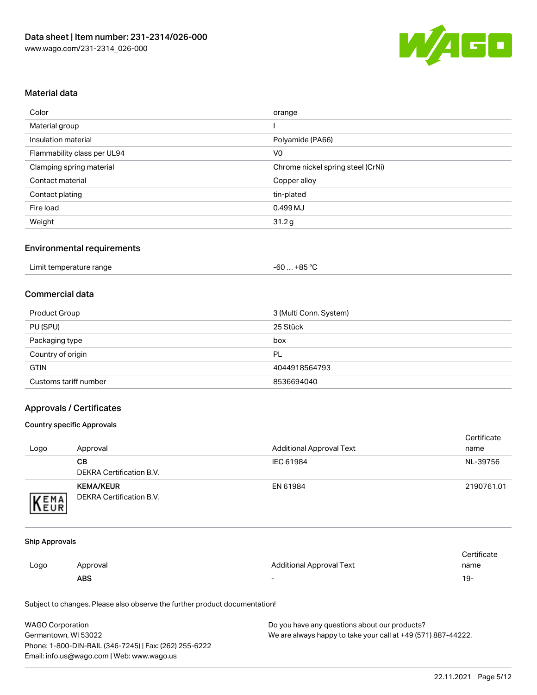

## Material data

| Color                       | orange                            |
|-----------------------------|-----------------------------------|
| Material group              |                                   |
| Insulation material         | Polyamide (PA66)                  |
| Flammability class per UL94 | V <sub>0</sub>                    |
| Clamping spring material    | Chrome nickel spring steel (CrNi) |
| Contact material            | Copper alloy                      |
| Contact plating             | tin-plated                        |
| Fire load                   | 0.499 MJ                          |
| Weight                      | 31.2g                             |

## Environmental requirements

## Commercial data

| Product Group         | 3 (Multi Conn. System) |
|-----------------------|------------------------|
| PU (SPU)              | 25 Stück               |
| Packaging type        | box                    |
| Country of origin     | PL                     |
| <b>GTIN</b>           | 4044918564793          |
| Customs tariff number | 8536694040             |

## Approvals / Certificates

### Country specific Approvals

| Logo               | Approval                                     | <b>Additional Approval Text</b> | Certificate<br>name |
|--------------------|----------------------------------------------|---------------------------------|---------------------|
|                    | CВ<br>DEKRA Certification B.V.               | IEC 61984                       | NL-39756            |
| EMA<br><b>NEUR</b> | <b>KEMA/KEUR</b><br>DEKRA Certification B.V. | EN 61984                        | 2190761.01          |

#### Ship Approvals

|      | ABS      | -                        | ιУ۰         |
|------|----------|--------------------------|-------------|
| Logo | Approval | Additional Approval Text | name        |
|      |          |                          | Certificate |

Subject to changes. Please also observe the further product documentation!

| <b>WAGO Corporation</b>                                | Do you have any questions about our products?                 |
|--------------------------------------------------------|---------------------------------------------------------------|
| Germantown, WI 53022                                   | We are always happy to take your call at +49 (571) 887-44222. |
| Phone: 1-800-DIN-RAIL (346-7245)   Fax: (262) 255-6222 |                                                               |
| Email: info.us@wago.com   Web: www.wago.us             |                                                               |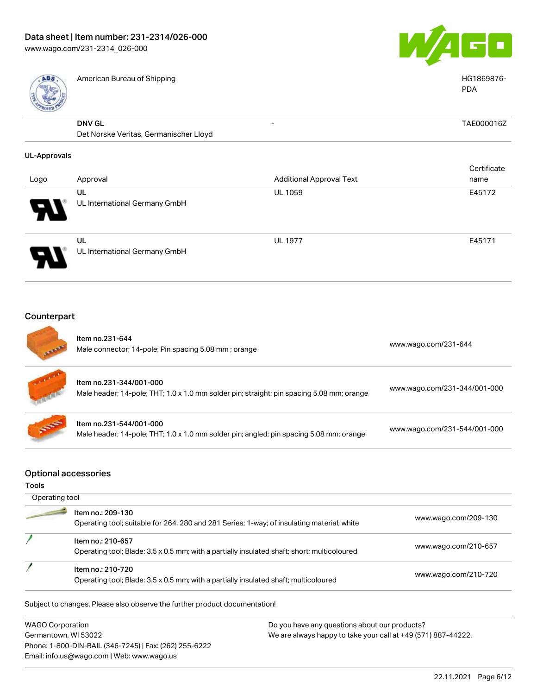

| <b>ABS</b>          | American Bureau of Shipping                                                                                          |                                 | HG1869876-<br><b>PDA</b>     |  |
|---------------------|----------------------------------------------------------------------------------------------------------------------|---------------------------------|------------------------------|--|
|                     | <b>DNV GL</b>                                                                                                        |                                 | TAE000016Z                   |  |
|                     | Det Norske Veritas, Germanischer Lloyd                                                                               |                                 |                              |  |
| <b>UL-Approvals</b> |                                                                                                                      |                                 |                              |  |
|                     |                                                                                                                      |                                 | Certificate                  |  |
| Logo                | Approval                                                                                                             | <b>Additional Approval Text</b> | name                         |  |
|                     | <b>UL</b>                                                                                                            | UL 1059                         | E45172                       |  |
|                     | UL International Germany GmbH                                                                                        |                                 |                              |  |
|                     | UL                                                                                                                   | <b>UL 1977</b>                  | E45171                       |  |
|                     | UL International Germany GmbH                                                                                        |                                 |                              |  |
| Counterpart         |                                                                                                                      |                                 |                              |  |
|                     | Item no.231-644<br>Male connector; 14-pole; Pin spacing 5.08 mm; orange                                              |                                 | www.wago.com/231-644         |  |
|                     | Item no.231-344/001-000<br>Male header; 14-pole; THT; 1.0 x 1.0 mm solder pin; straight; pin spacing 5.08 mm; orange |                                 | www.wago.com/231-344/001-000 |  |
|                     |                                                                                                                      |                                 |                              |  |

### Optional accessories

#### Tools

| Operating tool |                                                                                                                  |                      |
|----------------|------------------------------------------------------------------------------------------------------------------|----------------------|
|                | Item no.: 209-130<br>Operating tool; suitable for 264, 280 and 281 Series; 1-way; of insulating material; white  | www.wago.com/209-130 |
|                | Item no.: 210-657<br>Operating tool; Blade: 3.5 x 0.5 mm; with a partially insulated shaft; short; multicoloured | www.wago.com/210-657 |
|                | Item no.: 210-720<br>Operating tool; Blade: 3.5 x 0.5 mm; with a partially insulated shaft; multicoloured        | www.wago.com/210-720 |

Male header; 14-pole; THT; 1.0 x 1.0 mm solder pin; angled; pin spacing 5.08 mm; orange [www.wago.com/231-544/001-000](https://www.wago.com/231-544/001-000)

Subject to changes. Please also observe the further product documentation!

WAGO Corporation Germantown, WI 53022 Phone: 1-800-DIN-RAIL (346-7245) | Fax: (262) 255-6222 Email: info.us@wago.com | Web: www.wago.us

Item no.231-544/001-000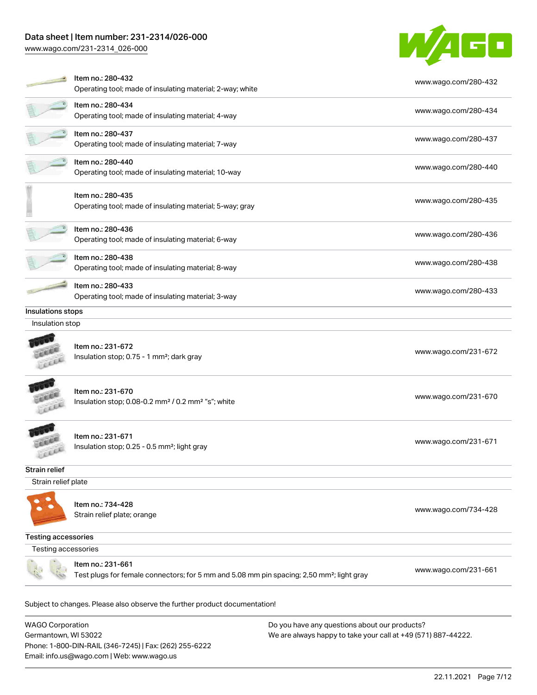## Data sheet | Item number: 231-2314/026-000

Phone: 1-800-DIN-RAIL (346-7245) | Fax: (262) 255-6222

Email: info.us@wago.com | Web: www.wago.us

[www.wago.com/231-2314\\_026-000](http://www.wago.com/231-2314_026-000)



|                                                 | Item no.: 280-432<br>Operating tool; made of insulating material; 2-way; white                                             | www.wago.com/280-432                                                                                           |
|-------------------------------------------------|----------------------------------------------------------------------------------------------------------------------------|----------------------------------------------------------------------------------------------------------------|
|                                                 | Item no.: 280-434<br>Operating tool; made of insulating material; 4-way                                                    | www.wago.com/280-434                                                                                           |
|                                                 | Item no.: 280-437<br>Operating tool; made of insulating material; 7-way                                                    | www.wago.com/280-437                                                                                           |
|                                                 | Item no.: 280-440<br>Operating tool; made of insulating material; 10-way                                                   | www.wago.com/280-440                                                                                           |
|                                                 | Item no.: 280-435<br>Operating tool; made of insulating material; 5-way; gray                                              | www.wago.com/280-435                                                                                           |
|                                                 | Item no.: 280-436<br>Operating tool; made of insulating material; 6-way                                                    | www.wago.com/280-436                                                                                           |
|                                                 | Item no.: 280-438<br>Operating tool; made of insulating material; 8-way                                                    | www.wago.com/280-438                                                                                           |
|                                                 | Item no.: 280-433<br>Operating tool; made of insulating material; 3-way                                                    | www.wago.com/280-433                                                                                           |
| Insulations stops                               |                                                                                                                            |                                                                                                                |
| Insulation stop                                 |                                                                                                                            |                                                                                                                |
|                                                 | Item no.: 231-672<br>Insulation stop; 0.75 - 1 mm <sup>2</sup> ; dark gray                                                 | www.wago.com/231-672                                                                                           |
|                                                 | Item no.: 231-670<br>Insulation stop; 0.08-0.2 mm <sup>2</sup> / 0.2 mm <sup>2</sup> "s"; white                            | www.wago.com/231-670                                                                                           |
|                                                 | Item no.: 231-671<br>Insulation stop; 0.25 - 0.5 mm <sup>2</sup> ; light gray                                              | www.wago.com/231-671                                                                                           |
| <b>Strain relief</b>                            |                                                                                                                            |                                                                                                                |
| Strain relief plate                             |                                                                                                                            |                                                                                                                |
| ●                                               | Item no.: 734-428<br>Strain relief plate; orange                                                                           | www.wago.com/734-428                                                                                           |
| <b>Testing accessories</b>                      |                                                                                                                            |                                                                                                                |
| Testing accessories                             |                                                                                                                            |                                                                                                                |
|                                                 | Item no.: 231-661<br>Test plugs for female connectors; for 5 mm and 5.08 mm pin spacing; 2,50 mm <sup>2</sup> ; light gray | www.wago.com/231-661                                                                                           |
|                                                 | Subject to changes. Please also observe the further product documentation!                                                 |                                                                                                                |
| <b>WAGO Corporation</b><br>Germantown, WI 53022 |                                                                                                                            | Do you have any questions about our products?<br>We are always happy to take your call at +49 (571) 887-44222. |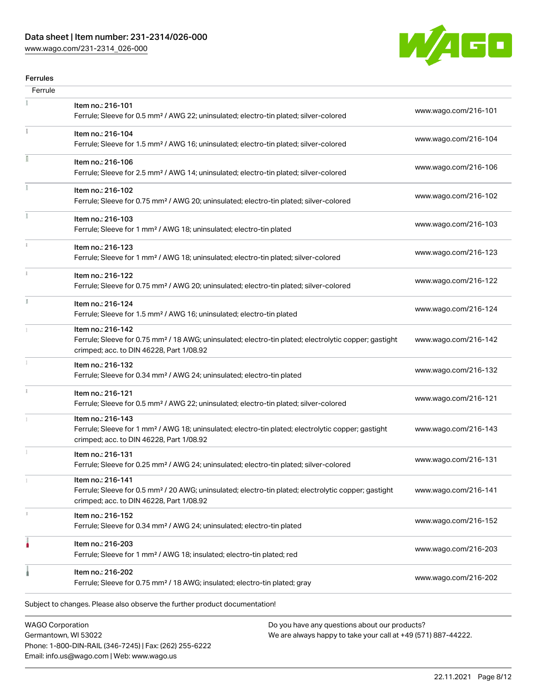## Data sheet | Item number: 231-2314/026-000

[www.wago.com/231-2314\\_026-000](http://www.wago.com/231-2314_026-000)



#### Ferrules

| Ferrule |                                                                                                                                                                                    |                      |
|---------|------------------------------------------------------------------------------------------------------------------------------------------------------------------------------------|----------------------|
|         | Item no.: 216-101<br>Ferrule; Sleeve for 0.5 mm <sup>2</sup> / AWG 22; uninsulated; electro-tin plated; silver-colored                                                             | www.wago.com/216-101 |
|         | Item no.: 216-104<br>Ferrule; Sleeve for 1.5 mm <sup>2</sup> / AWG 16; uninsulated; electro-tin plated; silver-colored                                                             | www.wago.com/216-104 |
|         | Item no.: 216-106<br>Ferrule; Sleeve for 2.5 mm <sup>2</sup> / AWG 14; uninsulated; electro-tin plated; silver-colored                                                             | www.wago.com/216-106 |
|         | Item no.: 216-102<br>Ferrule; Sleeve for 0.75 mm <sup>2</sup> / AWG 20; uninsulated; electro-tin plated; silver-colored                                                            | www.wago.com/216-102 |
|         | Item no.: 216-103<br>Ferrule; Sleeve for 1 mm <sup>2</sup> / AWG 18; uninsulated; electro-tin plated                                                                               | www.wago.com/216-103 |
|         | Item no.: 216-123<br>Ferrule; Sleeve for 1 mm <sup>2</sup> / AWG 18; uninsulated; electro-tin plated; silver-colored                                                               | www.wago.com/216-123 |
|         | Item no.: 216-122<br>Ferrule; Sleeve for 0.75 mm <sup>2</sup> / AWG 20; uninsulated; electro-tin plated; silver-colored                                                            | www.wago.com/216-122 |
| I.      | Item no.: 216-124<br>Ferrule; Sleeve for 1.5 mm <sup>2</sup> / AWG 16; uninsulated; electro-tin plated                                                                             | www.wago.com/216-124 |
|         | Item no.: 216-142<br>Ferrule; Sleeve for 0.75 mm <sup>2</sup> / 18 AWG; uninsulated; electro-tin plated; electrolytic copper; gastight<br>crimped; acc. to DIN 46228, Part 1/08.92 | www.wago.com/216-142 |
|         | Item no.: 216-132<br>Ferrule; Sleeve for 0.34 mm <sup>2</sup> / AWG 24; uninsulated; electro-tin plated                                                                            | www.wago.com/216-132 |
| i.      | Item no.: 216-121<br>Ferrule; Sleeve for 0.5 mm <sup>2</sup> / AWG 22; uninsulated; electro-tin plated; silver-colored                                                             | www.wago.com/216-121 |
|         | Item no.: 216-143<br>Ferrule; Sleeve for 1 mm <sup>2</sup> / AWG 18; uninsulated; electro-tin plated; electrolytic copper; gastight<br>crimped; acc. to DIN 46228, Part 1/08.92    | www.wago.com/216-143 |
|         | Item no.: 216-131<br>Ferrule; Sleeve for 0.25 mm <sup>2</sup> / AWG 24; uninsulated; electro-tin plated; silver-colored                                                            | www.wago.com/216-131 |
|         | Item no.: 216-141<br>Ferrule; Sleeve for 0.5 mm <sup>2</sup> / 20 AWG; uninsulated; electro-tin plated; electrolytic copper; gastight<br>crimped; acc. to DIN 46228, Part 1/08.92  | www.wago.com/216-141 |
|         | Item no.: 216-152<br>Ferrule; Sleeve for 0.34 mm <sup>2</sup> / AWG 24; uninsulated; electro-tin plated                                                                            | www.wago.com/216-152 |
|         | Item no.: 216-203<br>Ferrule; Sleeve for 1 mm <sup>2</sup> / AWG 18; insulated; electro-tin plated; red                                                                            | www.wago.com/216-203 |
|         | Item no.: 216-202<br>Ferrule; Sleeve for 0.75 mm <sup>2</sup> / 18 AWG; insulated; electro-tin plated; gray                                                                        | www.wago.com/216-202 |
|         | Subject to changes. Please also observe the further product documentation!                                                                                                         |                      |
|         |                                                                                                                                                                                    |                      |

WAGO Corporation Germantown, WI 53022 Phone: 1-800-DIN-RAIL (346-7245) | Fax: (262) 255-6222 Email: info.us@wago.com | Web: www.wago.us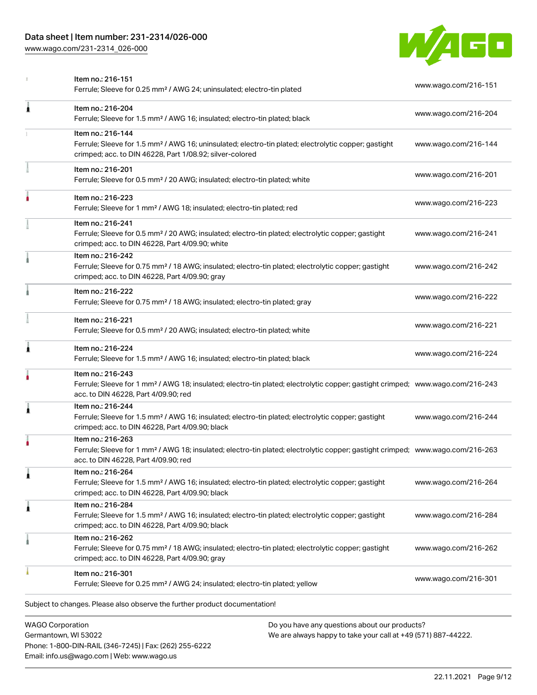## Data sheet | Item number: 231-2314/026-000

[www.wago.com/231-2314\\_026-000](http://www.wago.com/231-2314_026-000)



| <b>WAGO Corporation</b> | Do you have any questions about our products?                                                                                                                                                           |                      |
|-------------------------|---------------------------------------------------------------------------------------------------------------------------------------------------------------------------------------------------------|----------------------|
|                         | Subject to changes. Please also observe the further product documentation!                                                                                                                              |                      |
|                         | Item no.: 216-301<br>Ferrule; Sleeve for 0.25 mm <sup>2</sup> / AWG 24; insulated; electro-tin plated; yellow                                                                                           | www.wago.com/216-301 |
|                         | Item no.: 216-262<br>Ferrule; Sleeve for 0.75 mm <sup>2</sup> / 18 AWG; insulated; electro-tin plated; electrolytic copper; gastight<br>crimped; acc. to DIN 46228, Part 4/09.90; gray                  | www.wago.com/216-262 |
| 1                       | Item no.: 216-284<br>Ferrule; Sleeve for 1.5 mm <sup>2</sup> / AWG 16; insulated; electro-tin plated; electrolytic copper; gastight<br>crimped; acc. to DIN 46228, Part 4/09.90; black                  | www.wago.com/216-284 |
| 1                       | ltem no.: 216-264<br>Ferrule; Sleeve for 1.5 mm <sup>2</sup> / AWG 16; insulated; electro-tin plated; electrolytic copper; gastight<br>crimped; acc. to DIN 46228, Part 4/09.90; black                  | www.wago.com/216-264 |
|                         | Item no.: 216-263<br>Ferrule; Sleeve for 1 mm <sup>2</sup> / AWG 18; insulated; electro-tin plated; electrolytic copper; gastight crimped; www.wago.com/216-263<br>acc. to DIN 46228. Part 4/09.90: red |                      |
| 1                       | Item no.: 216-244<br>Ferrule; Sleeve for 1.5 mm <sup>2</sup> / AWG 16; insulated; electro-tin plated; electrolytic copper; gastight<br>crimped; acc. to DIN 46228, Part 4/09.90; black                  | www.wago.com/216-244 |
|                         | Item no.: 216-243<br>Ferrule; Sleeve for 1 mm <sup>2</sup> / AWG 18; insulated; electro-tin plated; electrolytic copper; gastight crimped; www.wago.com/216-243<br>acc. to DIN 46228, Part 4/09.90; red |                      |
| Â                       | Item no.: 216-224<br>Ferrule; Sleeve for 1.5 mm <sup>2</sup> / AWG 16; insulated; electro-tin plated; black                                                                                             | www.wago.com/216-224 |
|                         | Item no.: 216-221<br>Ferrule; Sleeve for 0.5 mm <sup>2</sup> / 20 AWG; insulated; electro-tin plated; white                                                                                             | www.wago.com/216-221 |
|                         | Item no.: 216-222<br>Ferrule; Sleeve for 0.75 mm <sup>2</sup> / 18 AWG; insulated; electro-tin plated; gray                                                                                             | www.wago.com/216-222 |
|                         | Item no.: 216-242<br>Ferrule; Sleeve for 0.75 mm <sup>2</sup> / 18 AWG; insulated; electro-tin plated; electrolytic copper; gastight<br>crimped; acc. to DIN 46228, Part 4/09.90; gray                  | www.wago.com/216-242 |
|                         | Item no.: 216-241<br>Ferrule; Sleeve for 0.5 mm <sup>2</sup> / 20 AWG; insulated; electro-tin plated; electrolytic copper; gastight<br>crimped; acc. to DIN 46228, Part 4/09.90; white                  | www.wago.com/216-241 |
|                         | Item no.: 216-223<br>Ferrule; Sleeve for 1 mm <sup>2</sup> / AWG 18; insulated; electro-tin plated; red                                                                                                 | www.wago.com/216-223 |
|                         | Item no.: 216-201<br>Ferrule; Sleeve for 0.5 mm <sup>2</sup> / 20 AWG; insulated; electro-tin plated; white                                                                                             | www.wago.com/216-201 |
|                         | Item no.: 216-144<br>Ferrule; Sleeve for 1.5 mm <sup>2</sup> / AWG 16; uninsulated; electro-tin plated; electrolytic copper; gastight<br>crimped; acc. to DIN 46228, Part 1/08.92; silver-colored       | www.wago.com/216-144 |
| Ă                       | Item no.: 216-204<br>Ferrule; Sleeve for 1.5 mm <sup>2</sup> / AWG 16; insulated; electro-tin plated; black                                                                                             | www.wago.com/216-204 |
|                         | Item no.: 216-151<br>Ferrule; Sleeve for 0.25 mm <sup>2</sup> / AWG 24; uninsulated; electro-tin plated                                                                                                 | www.wago.com/216-151 |

Germantown, WI 53022 Phone: 1-800-DIN-RAIL (346-7245) | Fax: (262) 255-6222 Email: info.us@wago.com | Web: www.wago.us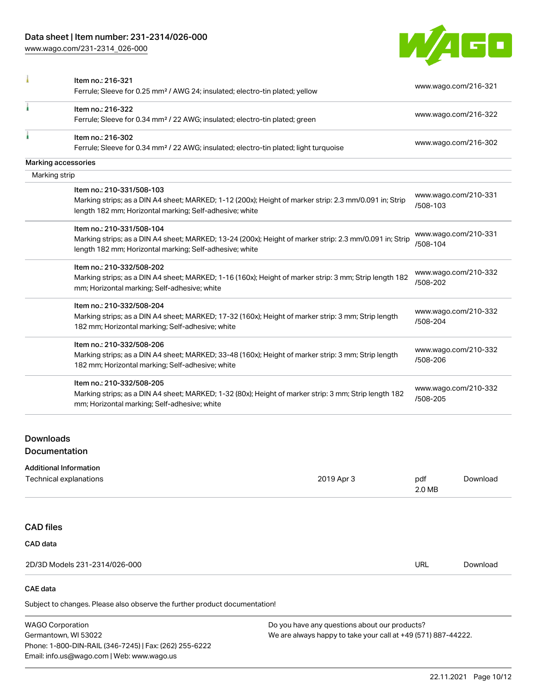[www.wago.com/231-2314\\_026-000](http://www.wago.com/231-2314_026-000)



|                     | Item no.: 216-321<br>Ferrule; Sleeve for 0.25 mm <sup>2</sup> / AWG 24; insulated; electro-tin plated; yellow                                                                                   | www.wago.com/216-321             |
|---------------------|-------------------------------------------------------------------------------------------------------------------------------------------------------------------------------------------------|----------------------------------|
|                     | Item no.: 216-322<br>Ferrule; Sleeve for 0.34 mm <sup>2</sup> / 22 AWG; insulated; electro-tin plated; green                                                                                    | www.wago.com/216-322             |
|                     | Item no.: 216-302<br>Ferrule; Sleeve for 0.34 mm <sup>2</sup> / 22 AWG; insulated; electro-tin plated; light turquoise                                                                          | www.wago.com/216-302             |
| Marking accessories |                                                                                                                                                                                                 |                                  |
| Marking strip       |                                                                                                                                                                                                 |                                  |
|                     | Item no.: 210-331/508-103<br>Marking strips; as a DIN A4 sheet; MARKED; 1-12 (200x); Height of marker strip: 2.3 mm/0.091 in; Strip<br>length 182 mm; Horizontal marking; Self-adhesive; white  | www.wago.com/210-331<br>/508-103 |
|                     | Item no.: 210-331/508-104<br>Marking strips; as a DIN A4 sheet; MARKED; 13-24 (200x); Height of marker strip: 2.3 mm/0.091 in; Strip<br>length 182 mm; Horizontal marking; Self-adhesive; white | www.wago.com/210-331<br>/508-104 |
|                     | Item no.: 210-332/508-202<br>Marking strips; as a DIN A4 sheet; MARKED; 1-16 (160x); Height of marker strip: 3 mm; Strip length 182<br>mm; Horizontal marking; Self-adhesive; white             | www.wago.com/210-332<br>/508-202 |
|                     | Item no.: 210-332/508-204<br>Marking strips; as a DIN A4 sheet; MARKED; 17-32 (160x); Height of marker strip: 3 mm; Strip length<br>182 mm; Horizontal marking; Self-adhesive; white            | www.wago.com/210-332<br>/508-204 |
|                     | Item no.: 210-332/508-206<br>Marking strips; as a DIN A4 sheet; MARKED; 33-48 (160x); Height of marker strip: 3 mm; Strip length<br>182 mm; Horizontal marking; Self-adhesive; white            | www.wago.com/210-332<br>/508-206 |
|                     | Item no.: 210-332/508-205<br>Marking strips; as a DIN A4 sheet; MARKED; 1-32 (80x); Height of marker strip: 3 mm; Strip length 182<br>mm; Horizontal marking; Self-adhesive; white              | www.wago.com/210-332<br>/508-205 |
| <b>Downloads</b>    |                                                                                                                                                                                                 |                                  |

**Documentation** 

#### Additional Information

| Technical explanations        | 2019 Apr 3 | pdf<br>2.0 MB | Download |
|-------------------------------|------------|---------------|----------|
|                               |            |               |          |
| <b>CAD files</b>              |            |               |          |
| CAD data                      |            |               |          |
| 2D/3D Models 231-2314/026-000 |            | <b>URL</b>    | Download |

## CAE data

Subject to changes. Please also observe the further product documentation!

WAGO Corporation Germantown, WI 53022 Phone: 1-800-DIN-RAIL (346-7245) | Fax: (262) 255-6222 Email: info.us@wago.com | Web: www.wago.us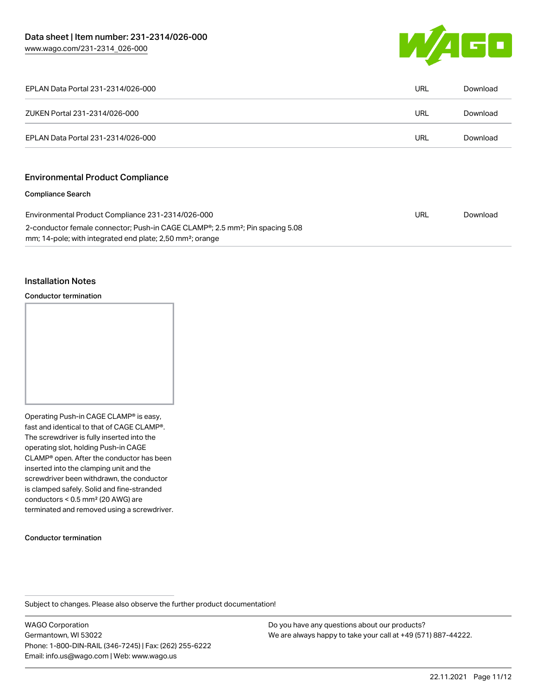

| EPLAN Data Portal 231-2314/026-000                                                                                                                                              | URL | Download |
|---------------------------------------------------------------------------------------------------------------------------------------------------------------------------------|-----|----------|
| ZUKEN Portal 231-2314/026-000                                                                                                                                                   | URL | Download |
| EPLAN Data Portal 231-2314/026-000                                                                                                                                              | URL | Download |
|                                                                                                                                                                                 |     |          |
| <b>Environmental Product Compliance</b>                                                                                                                                         |     |          |
| <b>Compliance Search</b>                                                                                                                                                        |     |          |
| Environmental Product Compliance 231-2314/026-000                                                                                                                               | URL | Download |
| 2-conductor female connector; Push-in CAGE CLAMP <sup>®</sup> ; 2.5 mm <sup>2</sup> ; Pin spacing 5.08<br>mm; 14-pole; with integrated end plate; 2,50 mm <sup>2</sup> ; orange |     |          |

## Installation Notes

Conductor termination



#### Conductor termination

Subject to changes. Please also observe the further product documentation!

WAGO Corporation Germantown, WI 53022 Phone: 1-800-DIN-RAIL (346-7245) | Fax: (262) 255-6222 Email: info.us@wago.com | Web: www.wago.us